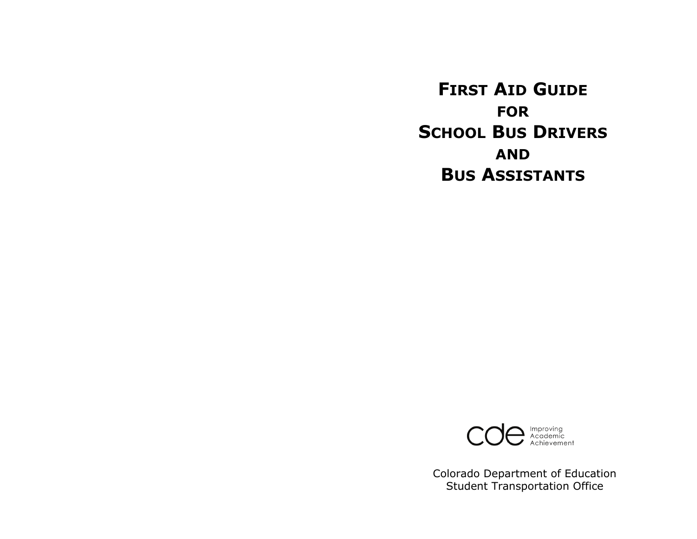**FIRST AID GUIDE FORSCHOOL BUS DRIVERS ANDBUS ASSISTANTS**



Colorado Department of Education Student Transportation Office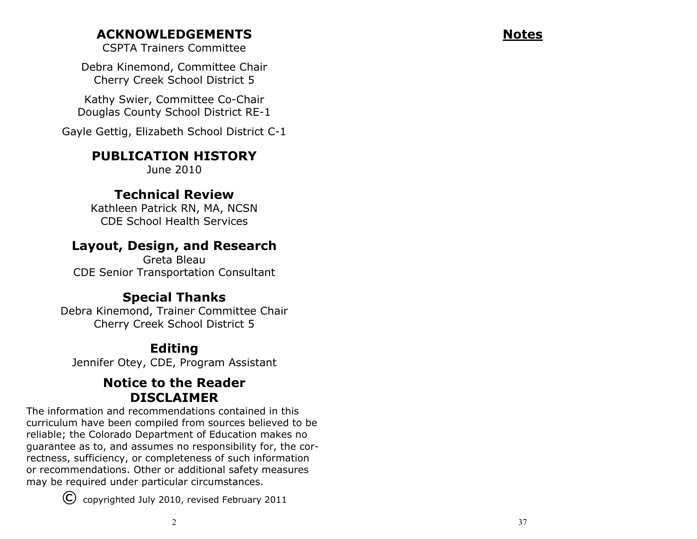# **ACKNOWLEDGEMENTS**

CSPTA Trainers Committee

Debra Kinemond, Committee Chair Cherry Creek School District 5

Kathy Swier, Committee Co-Chair Douglas County School District RE-1

Gayle Gettig, Elizabeth School District C-1

# **PUBLICATION HISTORY**

June 2010

# **Technical Review**

Kathleen Patrick RN, MA, NCSN CDE School Health Services

# **Layout, Design, and Research**

Greta Bleau CDE Senior Transportation Consultant

# **Special Thanks**

Debra Kinemond, Trainer Committee Chair Cherry Creek School District 5

# **Editing**

Jennifer Otey, CDE, Program Assistant

# **Notice to the ReaderDISCLAIMER**

The information and recommendations contained in this curriculum have been compiled from sources believed to be reliable; the Colorado Department of Education makes no guarantee as to, and assumes no responsibility for, the correctness, sufficiency, or completeness of such information or recommendations. Other or additional safety measures may be required under particular circumstances.

© copyrighted July 2010, revised February 2011

**Notes**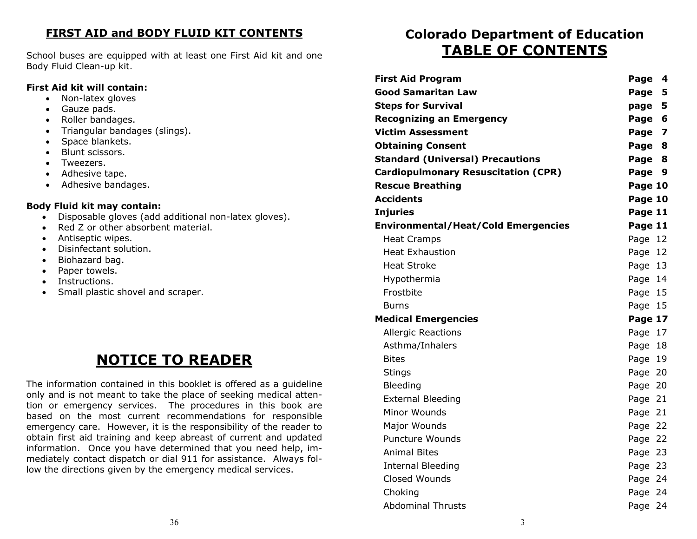### **FIRST AID and BODY FLUID KIT CONTENTS**

School buses are equipped with at least one First Aid kit and one Body Fluid Clean-up kit.

### **First Aid kit will contain:**

- Non-latex gloves
- Gauze pads.
- Roller bandages.
- Triangular bandages (slings).
- Space blankets.
- Blunt scissors.
- Tweezers.
- Adhesive tape.
- Adhesive bandages.

### **Body Fluid kit may contain:**

- Disposable gloves (add additional non-latex gloves).
- $\bullet$ Red Z or other absorbent material.
- Antiseptic wipes.
- Disinfectant solution.
- $\bullet$ Biohazard bag.
- $\bullet$ Paper towels.
- $\bullet$ Instructions.
- $\bullet$ Small plastic shovel and scraper.

# **NOTICE TO READER**

The information contained in this booklet is offered as a guideline only and is not meant to take the place of seeking medical attention or emergency services. The procedures in this book are based on the most current recommendations for responsible emergency care. However, it is the responsibility of the reader to obtain first aid training and keep abreast of current and updated information. Once you have determined that you need help, immediately contact dispatch or dial 911 for assistance. Always follow the directions given by the emergency medical services.

# **Colorado Department of Education TABLE OF CONTENTS**

| <b>First Aid Program</b>                   | Page 4  |  |
|--------------------------------------------|---------|--|
| <b>Good Samaritan Law</b>                  | Page 5  |  |
| <b>Steps for Survival</b>                  | page 5  |  |
| <b>Recognizing an Emergency</b>            | Page 6  |  |
| <b>Victim Assessment</b>                   | Page 7  |  |
| <b>Obtaining Consent</b>                   | Page 8  |  |
| <b>Standard (Universal) Precautions</b>    | Page 8  |  |
| <b>Cardiopulmonary Resuscitation (CPR)</b> | Page 9  |  |
| <b>Rescue Breathing</b>                    | Page 10 |  |
| <b>Accidents</b>                           | Page 10 |  |
| Injuries                                   | Page 11 |  |
| <b>Environmental/Heat/Cold Emergencies</b> | Page 11 |  |
| <b>Heat Cramps</b>                         | Page 12 |  |
| <b>Heat Exhaustion</b>                     | Page 12 |  |
| <b>Heat Stroke</b>                         | Page 13 |  |
| Hypothermia                                | Page 14 |  |
| Frostbite                                  | Page 15 |  |
| <b>Burns</b>                               | Page 15 |  |
| <b>Medical Emergencies</b>                 | Page 17 |  |
| <b>Allergic Reactions</b>                  | Page 17 |  |
| Asthma/Inhalers                            | Page 18 |  |
| <b>Bites</b>                               | Page 19 |  |
| Stings                                     | Page 20 |  |
| Bleeding                                   | Page 20 |  |
| <b>External Bleeding</b>                   | Page 21 |  |
| Minor Wounds                               | Page 21 |  |
| Major Wounds                               | Page 22 |  |
| <b>Puncture Wounds</b>                     | Page 22 |  |
| <b>Animal Bites</b>                        | Page 23 |  |
| <b>Internal Bleeding</b>                   | Page 23 |  |
| Closed Wounds                              | Page 24 |  |
| Choking                                    | Page 24 |  |
| <b>Abdominal Thrusts</b>                   | Page 24 |  |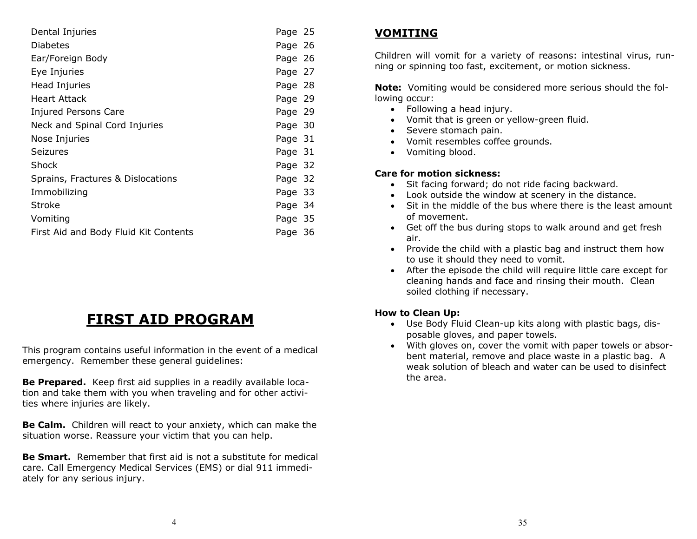| Dental Injuries                       | Page 25 |  |
|---------------------------------------|---------|--|
| <b>Diabetes</b>                       | Page 26 |  |
| Ear/Foreign Body                      | Page 26 |  |
| Eye Injuries                          | Page 27 |  |
| Head Injuries                         | Page 28 |  |
| Heart Attack                          | Page 29 |  |
| <b>Injured Persons Care</b>           | Page 29 |  |
| Neck and Spinal Cord Injuries         | Page 30 |  |
| Nose Injuries                         | Page 31 |  |
| Seizures                              | Page 31 |  |
| Shock                                 | Page 32 |  |
| Sprains, Fractures & Dislocations     | Page 32 |  |
| Immobilizing                          | Page 33 |  |
| <b>Stroke</b>                         | Page 34 |  |
| Vomiting                              | Page 35 |  |
| First Aid and Body Fluid Kit Contents | Page 36 |  |

# **FIRST AID PROGRAM**

This program contains useful information in the event of a medical emergency. Remember these general guidelines:

**Be Prepared.** Keep first aid supplies in a readily available location and take them with you when traveling and for other activities where injuries are likely.

**Be Calm.** Children will react to your anxiety, which can make the situation worse. Reassure your victim that you can help.

**Be Smart.** Remember that first aid is not a substitute for medical care. Call Emergency Medical Services (EMS) or dial 911 immediately for any serious injury.

# **VOMITING**

Children will vomit for a variety of reasons: intestinal virus, running or spinning too fast, excitement, or motion sickness.

**Note:** Vomiting would be considered more serious should the following occur:

- Following a head injury.
- Vomit that is green or yellow-green fluid.
- Severe stomach pain.
- Vomit resembles coffee grounds.
- Vomiting blood.

### **Care for motion sickness:**

- Sit facing forward; do not ride facing backward.
- Look outside the window at scenery in the distance.
- Sit in the middle of the bus where there is the least amount of movement.
- Get off the bus during stops to walk around and get fresh air.
- Provide the child with a plastic bag and instruct them how to use it should they need to vomit.
- After the episode the child will require little care except for cleaning hands and face and rinsing their mouth. Clean soiled clothing if necessary.

### **How to Clean Up:**

- Use Body Fluid Clean-up kits along with plastic bags, disposable gloves, and paper towels.
- With gloves on, cover the vomit with paper towels or absorbent material, remove and place waste in a plastic bag. A weak solution of bleach and water can be used to disinfect the area.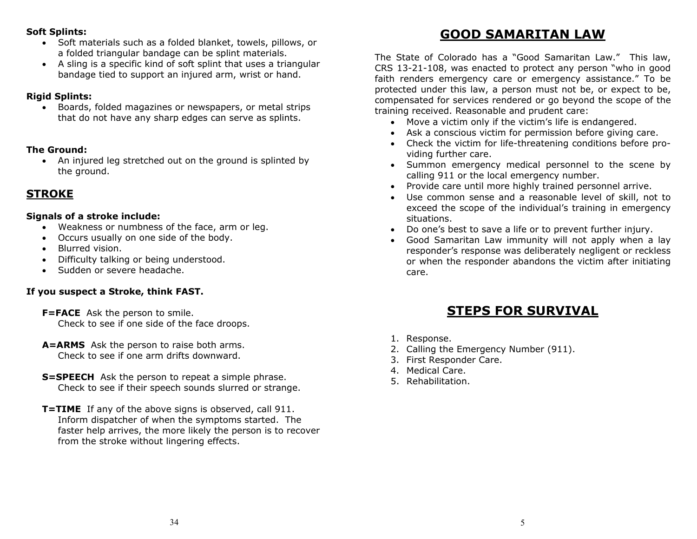### **Soft Splints:**

- Soft materials such as a folded blanket, towels, pillows, or a folded triangular bandage can be splint materials.
- A sling is a specific kind of soft splint that uses a triangular bandage tied to support an injured arm, wrist or hand.

### **Rigid Splints:**

 Boards, folded magazines or newspapers, or metal strips that do not have any sharp edges can serve as splints.

### **The Ground:**

 An injured leg stretched out on the ground is splinted by the ground.

# **STROKE**

### **Signals of a stroke include:**

- $\bullet$ Weakness or numbness of the face, arm or leg.
- Occurs usually on one side of the body.
- Blurred vision.
- Difficulty talking or being understood.
- Sudden or severe headache.

### **If you suspect a Stroke, think FAST.**

- **F=FACE** Ask the person to smile. Check to see if one side of the face droops.
- **A=ARMS** Ask the person to raise both arms. Check to see if one arm drifts downward.
- **S=SPEECH** Ask the person to repeat a simple phrase. Check to see if their speech sounds slurred or strange.
- **T=TIME** If any of the above signs is observed, call 911. Inform dispatcher of when the symptoms started. The faster help arrives, the more likely the person is to recover from the stroke without lingering effects.

# **GOOD SAMARITAN LAW**

The State of Colorado has a "Good Samaritan Law." This law, CRS 13-21-108, was enacted to protect any person "who in good faith renders emergency care or emergency assistance." To be protected under this law, a person must not be, or expect to be, compensated for services rendered or go beyond the scope of the training received. Reasonable and prudent care:

- Move a victim only if the victim's life is endangered.
- Ask a conscious victim for permission before giving care.
- Check the victim for life-threatening conditions before providing further care.
- Summon emergency medical personnel to the scene by calling 911 or the local emergency number.
- $\bullet$ Provide care until more highly trained personnel arrive.
- $\bullet$  Use common sense and a reasonable level of skill, not to exceed the scope of the individual's training in emergency situations.
- Do one's best to save a life or to prevent further injury.
- $\bullet$  Good Samaritan Law immunity will not apply when a lay responder's response was deliberately negligent or reckless or when the responder abandons the victim after initiating care.

# **STEPS FOR SURVIVAL**

- 1. Response.
- 2. Calling the Emergency Number (911).
- 3. First Responder Care.
- 4. Medical Care.
- 5. Rehabilitation.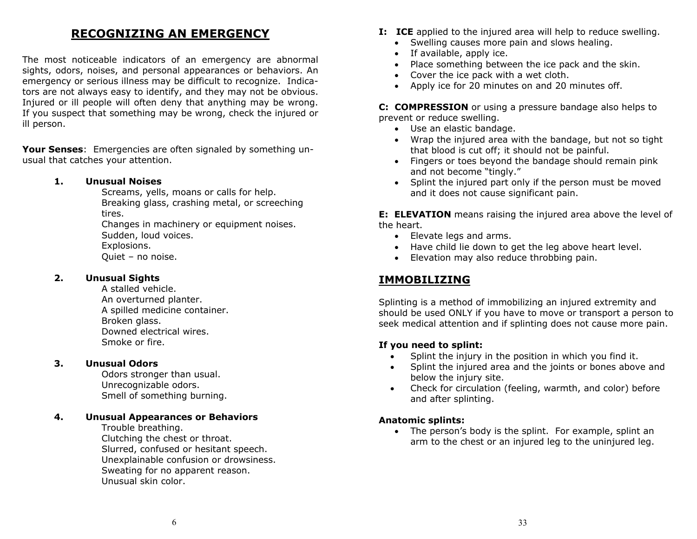# **RECOGNIZING AN EMERGENCY**

The most noticeable indicators of an emergency are abnormal sights, odors, noises, and personal appearances or behaviors. An emergency or serious illness may be difficult to recognize. Indicators are not always easy to identify, and they may not be obvious. Injured or ill people will often deny that anything may be wrong. If you suspect that something may be wrong, check the injured or ill person.

**Your Senses**: Emergencies are often signaled by something unusual that catches your attention.

#### **1.Unusual Noises**

Screams, yells, moans or calls for help. Breaking glass, crashing metal, or screeching tires. Changes in machinery or equipment noises.

Sudden, loud voices. Explosions. Quiet – no noise.

#### **2. Unusual Sights**

A stalled vehicle. An overturned planter. A spilled medicine container. Broken glass. Downed electrical wires. Smoke or fire.

#### **3. Unusual Odors**

Odors stronger than usual. Unrecognizable odors. Smell of something burning.

#### **4.Unusual Appearances or Behaviors**

Trouble breathing. Clutching the chest or throat. Slurred, confused or hesitant speech. Unexplainable confusion or drowsiness. Sweating for no apparent reason. Unusual skin color.

- **I:** ICE applied to the injured area will help to reduce swelling.
	- Swelling causes more pain and slows healing.
	- If available, apply ice.
	- Place something between the ice pack and the skin.
	- Cover the ice pack with a wet cloth.
	- Apply ice for 20 minutes on and 20 minutes off.

**C: COMPRESSION** or using a pressure bandage also helps to prevent or reduce swelling.

- Use an elastic bandage.
- Wrap the injured area with the bandage, but not so tight that blood is cut off; it should not be painful.
- Fingers or toes beyond the bandage should remain pink and not become "tingly."
- Splint the injured part only if the person must be moved and it does not cause significant pain.

**E: ELEVATION** means raising the injured area above the level of the heart.

- Elevate legs and arms.
- Have child lie down to get the leg above heart level.
- Elevation may also reduce throbbing pain.

### **IMMOBILIZING**

Splinting is a method of immobilizing an injured extremity and should be used ONLY if you have to move or transport a person to seek medical attention and if splinting does not cause more pain.

#### **If you need to splint:**

- $\bullet$ Splint the injury in the position in which you find it.
- $\bullet$  Splint the injured area and the joints or bones above and below the injury site.
- $\bullet$  Check for circulation (feeling, warmth, and color) before and after splinting.

#### **Anatomic splints:**

 The person's body is the splint. For example, splint an arm to the chest or an injured leg to the uninjured leg.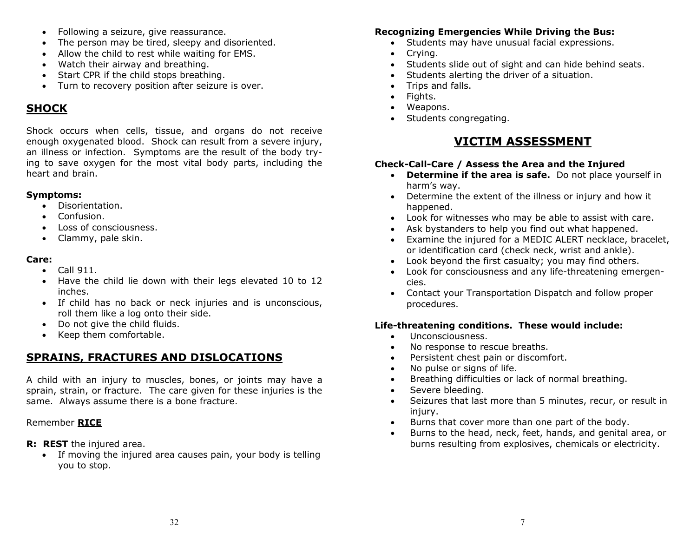- $\bullet$ Following a seizure, give reassurance.
- $\bullet$ The person may be tired, sleepy and disoriented.
- Allow the child to rest while waiting for EMS.
- Watch their airway and breathing.
- Start CPR if the child stops breathing.
- Turn to recovery position after seizure is over.

### **SHOCK**

Shock occurs when cells, tissue, and organs do not receive enough oxygenated blood. Shock can result from a severe injury, an illness or infection. Symptoms are the result of the body trying to save oxygen for the most vital body parts, including the heart and brain.

### **Symptoms:**

- $\bullet$ Disorientation.
- Confusion.
- Loss of consciousness.
- Clammy, pale skin.

### **Care:**

- $\bullet$  Call 911.
- Have the child lie down with their legs elevated 10 to 12 inches.
- If child has no back or neck injuries and is unconscious, roll them like a log onto their side.
- Do not give the child fluids.
- $\bullet$ Keep them comfortable.

# **SPRAINS, FRACTURES AND DISLOCATIONS**

A child with an injury to muscles, bones, or joints may have a sprain, strain, or fracture. The care given for these injuries is the same. Always assume there is a bone fracture.

### Remember **RICE**

- **R: REST** the injured area.
	- If moving the injured area causes pain, your body is telling you to stop.

### **Recognizing Emergencies While Driving the Bus:**

- Students may have unusual facial expressions.
- $\bullet$ Crying.
- $\bullet$ Students slide out of sight and can hide behind seats.
- $\bullet$ Students alerting the driver of a situation.
- Trips and falls.
- $\bullet$ Fights.
- Weapons.
- Students congregating.

# **VICTIM ASSESSMENT**

### **Check-Call-Care / Assess the Area and the Injured**

- **Determine if the area is safe.** Do not place yourself in harm's way.
- Determine the extent of the illness or injury and how it happened.
- Look for witnesses who may be able to assist with care.
- Ask bystanders to help you find out what happened.
- Examine the injured for a MEDIC ALERT necklace, bracelet, or identification card (check neck, wrist and ankle).
- Look beyond the first casualty; you may find others.
- Look for consciousness and any life-threatening emergencies.
- Contact your Transportation Dispatch and follow proper procedures.

### **Life-threatening conditions. These would include:**

- $\bullet$ Unconsciousness.
- $\bullet$ No response to rescue breaths.
- $\bullet$ Persistent chest pain or discomfort.
- $\bullet$ No pulse or signs of life.
- $\bullet$ Breathing difficulties or lack of normal breathing.
- $\bullet$ Severe bleeding.
- $\bullet$  Seizures that last more than 5 minutes, recur, or result in injury.
- $\bullet$ Burns that cover more than one part of the body.
- $\bullet$  Burns to the head, neck, feet, hands, and genital area, or burns resulting from explosives, chemicals or electricity.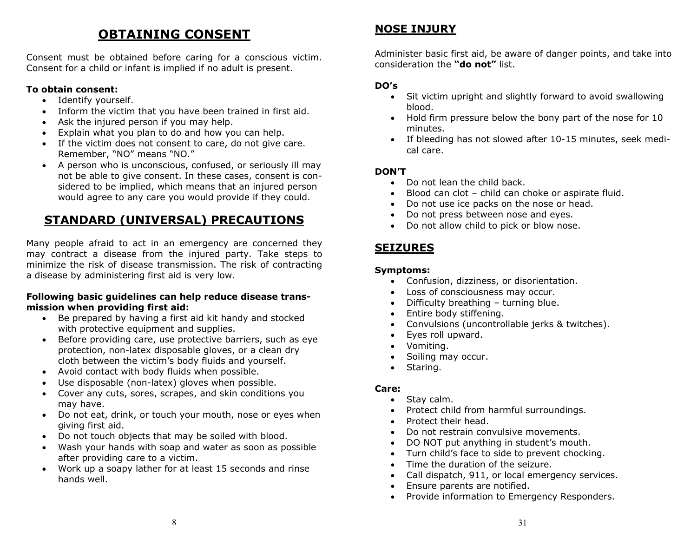# **OBTAINING CONSENT**

Consent must be obtained before caring for a conscious victim. Consent for a child or infant is implied if no adult is present.

### **To obtain consent:**

- Identify yourself.
- Inform the victim that you have been trained in first aid.
- Ask the injured person if you may help.
- Explain what you plan to do and how you can help.
- If the victim does not consent to care, do not give care. Remember, "NO" means "NO."
- A person who is unconscious, confused, or seriously ill may not be able to give consent. In these cases, consent is considered to be implied, which means that an injured person would agree to any care you would provide if they could.

# **STANDARD (UNIVERSAL) PRECAUTIONS**

Many people afraid to act in an emergency are concerned they may contract a disease from the injured party. Take steps to minimize the risk of disease transmission. The risk of contracting a disease by administering first aid is very low.

### **Following basic guidelines can help reduce disease transmission when providing first aid:**

- Be prepared by having a first aid kit handy and stocked with protective equipment and supplies.
- Before providing care, use protective barriers, such as eye protection, non-latex disposable gloves, or a clean dry cloth between the victim's body fluids and yourself.
- Avoid contact with body fluids when possible.
- $\bullet$ Use disposable (non-latex) gloves when possible.
- Cover any cuts, sores, scrapes, and skin conditions you may have.
- Do not eat, drink, or touch your mouth, nose or eyes when giving first aid.
- Do not touch objects that may be soiled with blood.
- Wash your hands with soap and water as soon as possible after providing care to a victim.
- Work up a soapy lather for at least 15 seconds and rinse hands well.

# **NOSE INJURY**

Administer basic first aid, be aware of danger points, and take into consideration the **"do not"** list.

### **DO's**

- Sit victim upright and slightly forward to avoid swallowing blood.
- Hold firm pressure below the bony part of the nose for 10 minutes.
- If bleeding has not slowed after 10-15 minutes, seek medical care.

### **DON'T**

- Do not lean the child back.
- $\bullet$ Blood can clot – child can choke or aspirate fluid.
- $\bullet$ Do not use ice packs on the nose or head.
- $\bullet$ Do not press between nose and eyes.
- Do not allow child to pick or blow nose.

# **SEIZURES**

### **Symptoms:**

- Confusion, dizziness, or disorientation.
- Loss of consciousness may occur.
- Difficulty breathing turning blue.
- $\bullet$ Entire body stiffening.
- $\bullet$ Convulsions (uncontrollable jerks & twitches).
- $\bullet$ Eyes roll upward.
- $\bullet$ Vomiting.
- $\bullet$ Soiling may occur.
- Staring.

- $\bullet$ Stay calm.
- $\bullet$ Protect child from harmful surroundings.
- $\bullet$ Protect their head.
- $\bullet$ Do not restrain convulsive movements.
- $\bullet$ DO NOT put anything in student's mouth.
- $\bullet$ Turn child's face to side to prevent chocking.
- $\bullet$ Time the duration of the seizure.
- $\bullet$ Call dispatch, 911, or local emergency services.
- $\bullet$ Ensure parents are notified.
- $\bullet$ Provide information to Emergency Responders.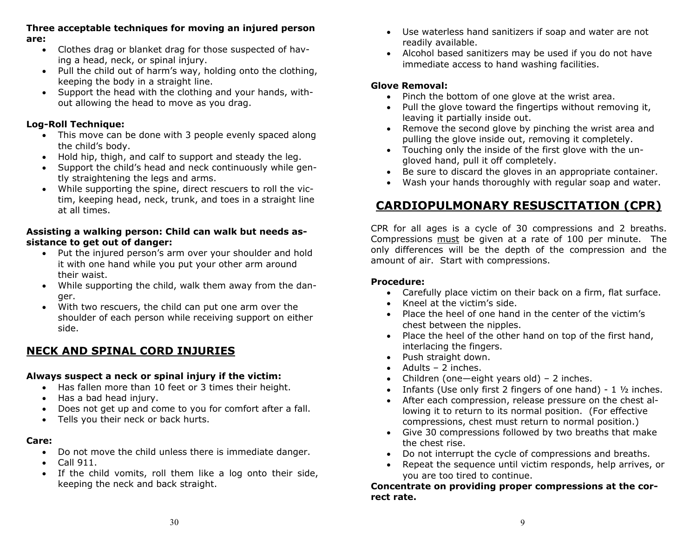### **Three acceptable techniques for moving an injured person are:**

- Clothes drag or blanket drag for those suspected of having a head, neck, or spinal injury.
- Pull the child out of harm's way, holding onto the clothing, keeping the body in a straight line.
- Support the head with the clothing and your hands, without allowing the head to move as you drag.

### **Log-Roll Technique:**

- This move can be done with 3 people evenly spaced along the child's body.
- Hold hip, thigh, and calf to support and steady the leg.
- Support the child's head and neck continuously while gently straightening the legs and arms.
- While supporting the spine, direct rescuers to roll the victim, keeping head, neck, trunk, and toes in a straight line at all times.

### **Assisting a walking person: Child can walk but needs assistance to get out of danger:**

- Put the injured person's arm over your shoulder and hold it with one hand while you put your other arm around their waist.
- While supporting the child, walk them away from the danger.
- With two rescuers, the child can put one arm over the shoulder of each person while receiving support on either side.

# **NECK AND SPINAL CORD INJURIES**

### **Always suspect a neck or spinal injury if the victim:**

- Has fallen more than 10 feet or 3 times their height.
- Has a bad head injury.
- Does not get up and come to you for comfort after a fall.
- Tells you their neck or back hurts.

### **Care:**

- Do not move the child unless there is immediate danger.
- $\bullet$  Call 911.
- If the child vomits, roll them like a log onto their side, keeping the neck and back straight.
- Use waterless hand sanitizers if soap and water are not readily available.
- Alcohol based sanitizers may be used if you do not have immediate access to hand washing facilities.

### **Glove Removal:**

- Pinch the bottom of one glove at the wrist area.
- Pull the glove toward the fingertips without removing it, leaving it partially inside out.
- Remove the second glove by pinching the wrist area and pulling the glove inside out, removing it completely.
- Touching only the inside of the first glove with the ungloved hand, pull it off completely.
- Be sure to discard the gloves in an appropriate container.
- $\bullet$ Wash your hands thoroughly with regular soap and water.

# **CARDIOPULMONARY RESUSCITATION (CPR)**

CPR for all ages is a cycle of 30 compressions and 2 breaths. Compressions must be given at a rate of 100 per minute. The only differences will be the depth of the compression and the amount of air. Start with compressions.

### **Procedure:**

- Carefully place victim on their back on a firm, flat surface.
- Kneel at the victim's side.
- Place the heel of one hand in the center of the victim's chest between the nipples.
- Place the heel of the other hand on top of the first hand, interlacing the fingers.
- Push straight down.
- Adults 2 inches.
- Children (one—eight years old) 2 inches.
- Infants (Use only first 2 fingers of one hand) 1  $\frac{1}{2}$  inches.
- After each compression, release pressure on the chest allowing it to return to its normal position. (For effective compressions, chest must return to normal position.)
- Give 30 compressions followed by two breaths that make the chest rise.
- Do not interrupt the cycle of compressions and breaths.
- $\bullet$  Repeat the sequence until victim responds, help arrives, or you are too tired to continue.

**Concentrate on providing proper compressions at the correct rate.**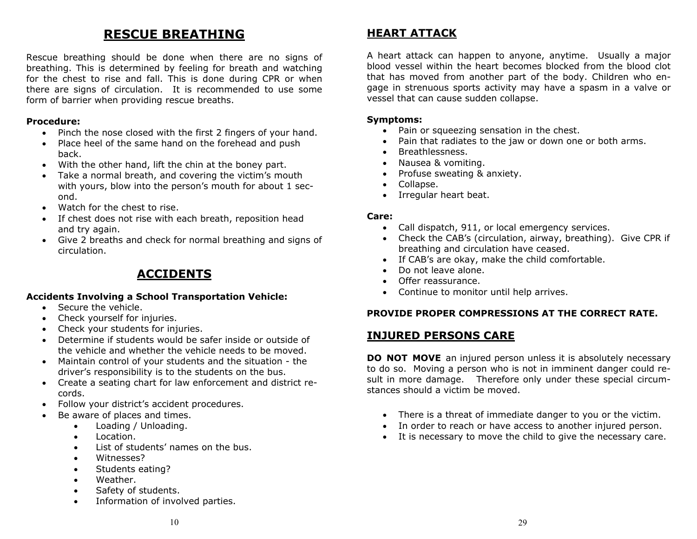# **RESCUE BREATHING**

Rescue breathing should be done when there are no signs of breathing. This is determined by feeling for breath and watching for the chest to rise and fall. This is done during CPR or when there are signs of circulation. It is recommended to use some form of barrier when providing rescue breaths.

### **Procedure:**

- Pinch the nose closed with the first 2 fingers of your hand.
- Place heel of the same hand on the forehead and push back.
- $\bullet$ With the other hand, lift the chin at the boney part.
- Take a normal breath, and covering the victim's mouth with yours, blow into the person's mouth for about 1 second.
- Watch for the chest to rise.
- If chest does not rise with each breath, reposition head and try again.
- Give 2 breaths and check for normal breathing and signs of circulation.

# **ACCIDENTS**

### **Accidents Involving a School Transportation Vehicle:**

- $\bullet$  Secure the vehicle.
- Check yourself for injuries.
- Check your students for injuries.
- Determine if students would be safer inside or outside of the vehicle and whether the vehicle needs to be moved.
- Maintain control of your students and the situation the driver's responsibility is to the students on the bus.
- Create a seating chart for law enforcement and district records.
- Follow your district's accident procedures.
- $\bullet$  Be aware of places and times.
	- Loading / Unloading.
	- $\bullet$  Location.
	- List of students' names on the bus.
	- Witnesses?
	- Students eating?
	- Weather.
	- Safety of students.
	- Information of involved parties.

### **HEART ATTACK**

A heart attack can happen to anyone, anytime. Usually a major blood vessel within the heart becomes blocked from the blood clot that has moved from another part of the body. Children who engage in strenuous sports activity may have a spasm in a valve or vessel that can cause sudden collapse.

#### **Symptoms:**

- Pain or squeezing sensation in the chest.
- $\bullet$ Pain that radiates to the jaw or down one or both arms.
- $\bullet$ Breathlessness.
- Nausea & vomiting.
- Profuse sweating & anxiety.
- Collapse.
- Irregular heart beat.

### **Care:**

- $\bullet$ Call dispatch, 911, or local emergency services.
- Check the CAB's (circulation, airway, breathing). Give CPR if breathing and circulation have ceased.
- If CAB's are okay, make the child comfortable.
- Do not leave alone.
- Offer reassurance.
- Continue to monitor until help arrives.

### **PROVIDE PROPER COMPRESSIONS AT THE CORRECT RATE.**

### **INJURED PERSONS CARE**

**DO NOT MOVE** an injured person unless it is absolutely necessary to do so. Moving a person who is not in imminent danger could result in more damage. Therefore only under these special circumstances should a victim be moved.

- There is a threat of immediate danger to you or the victim.
- In order to reach or have access to another injured person.
- It is necessary to move the child to give the necessary care.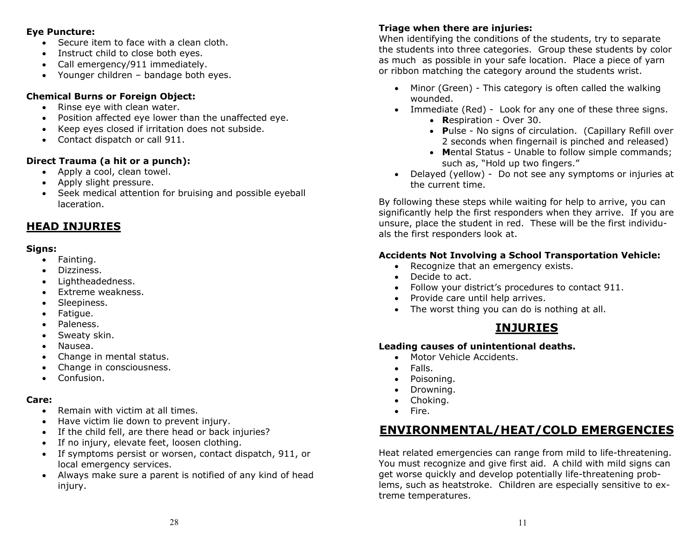#### **Eye Puncture:**

- Secure item to face with a clean cloth.
- Instruct child to close both eyes.
- Call emergency/911 immediately.
- Younger children bandage both eyes.

### **Chemical Burns or Foreign Object:**

- Rinse eye with clean water.
- Position affected eye lower than the unaffected eye.
- Keep eyes closed if irritation does not subside.
- Contact dispatch or call 911.

### **Direct Trauma (a hit or a punch):**

- Apply a cool, clean towel.
- Apply slight pressure.
- Seek medical attention for bruising and possible eyeball laceration.

# **HEAD INJURIES**

### **Signs:**

- Fainting.
- $\bullet$ Dizziness.
- $\bullet$ Lightheadedness.
- $\bullet$ Extreme weakness.
- $\bullet$ Sleepiness.
- $\bullet$ Fatigue.
- $\bullet$ Paleness.
- $\bullet$ Sweaty skin.
- $\bullet$ Nausea.
- $\bullet$ Change in mental status.
- $\bullet$ Change in consciousness.
- Confusion.

### **Care:**

- $\bullet$ Remain with victim at all times.
- $\bullet$ Have victim lie down to prevent injury.
- If the child fell, are there head or back injuries?
- $\bullet$ If no injury, elevate feet, loosen clothing.
- $\bullet$  If symptoms persist or worsen, contact dispatch, 911, or local emergency services.
- Always make sure a parent is notified of any kind of head injury.

### **Triage when there are injuries:**

When identifying the conditions of the students, try to separate the students into three categories. Group these students by color as much as possible in your safe location. Place a piece of yarn or ribbon matching the category around the students wrist.

- Minor (Green) This category is often called the walking wounded.
- Immediate (Red) Look for any one of these three signs.
	- **R**espiration Over 30.
	- **P**ulse No signs of circulation. (Capillary Refill over 2 seconds when fingernail is pinched and released)
	- **M**ental Status Unable to follow simple commands; such as, "Hold up two fingers."
- Delayed (yellow) Do not see any symptoms or injuries at the current time.

By following these steps while waiting for help to arrive, you can significantly help the first responders when they arrive. If you are unsure, place the student in red. These will be the first individuals the first responders look at.

### **Accidents Not Involving a School Transportation Vehicle:**

- Recognize that an emergency exists.
- Decide to act.
- Follow your district's procedures to contact 911.
- Provide care until help arrives.
- The worst thing you can do is nothing at all.

# **INJURIES**

### **Leading causes of unintentional deaths.**

- Motor Vehicle Accidents.
- Falls.
- $\bullet$ Poisoning.
- $\bullet$ Drowning.
- Choking.
- $\bullet$  Fire.

# **ENVIRONMENTAL/HEAT/COLD EMERGENCIES**

Heat related emergencies can range from mild to life-threatening. You must recognize and give first aid. A child with mild signs can get worse quickly and develop potentially life-threatening problems, such as heatstroke. Children are especially sensitive to extreme temperatures.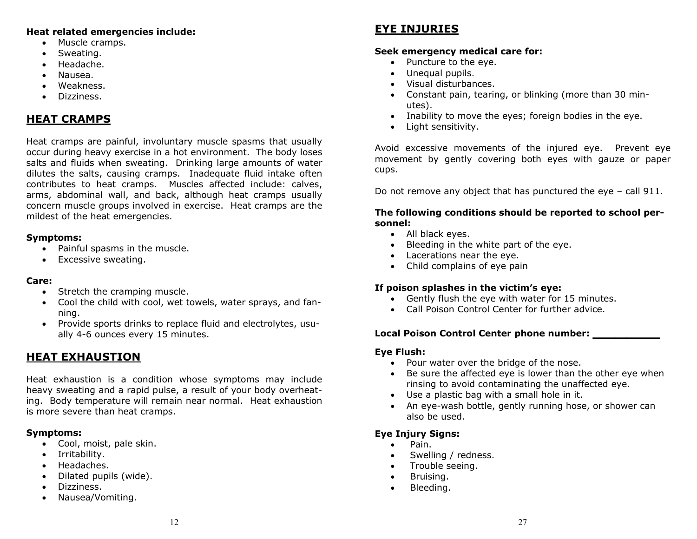### **Heat related emergencies include:**

- Muscle cramps.
- Sweating.
- $\bullet$ Headache.
- $\bullet$ Nausea.
- Weakness.
- Dizziness.

# **HEAT CRAMPS**

Heat cramps are painful, involuntary muscle spasms that usually occur during heavy exercise in a hot environment. The body loses salts and fluids when sweating. Drinking large amounts of water dilutes the salts, causing cramps. Inadequate fluid intake often contributes to heat cramps. Muscles affected include: calves, arms, abdominal wall, and back, although heat cramps usually concern muscle groups involved in exercise. Heat cramps are the mildest of the heat emergencies.

### **Symptoms:**

- Painful spasms in the muscle.
- Excessive sweating.

### **Care:**

- Stretch the cramping muscle.
- Cool the child with cool, wet towels, water sprays, and fanning.
- Provide sports drinks to replace fluid and electrolytes, usually 4-6 ounces every 15 minutes.

# **HEAT EXHAUSTION**

Heat exhaustion is a condition whose symptoms may include heavy sweating and a rapid pulse, a result of your body overheating. Body temperature will remain near normal. Heat exhaustion is more severe than heat cramps.

### **Symptoms:**

- Cool, moist, pale skin.
- Irritability.
- Headaches.
- $\bullet$ Dilated pupils (wide).
- $\bullet$ Dizziness.
- $\bullet$ Nausea/Vomiting.

# **EYE INJURIES**

### **Seek emergency medical care for:**

- Puncture to the eye.
- Unequal pupils.
- Visual disturbances.
- Constant pain, tearing, or blinking (more than 30 minutes).
- Inability to move the eyes; foreign bodies in the eye.
- Light sensitivity.

Avoid excessive movements of the injured eye. Prevent eye movement by gently covering both eyes with gauze or paper cups.

Do not remove any object that has punctured the eye – call 911.

### **The following conditions should be reported to school personnel:**

- All black eyes.
- Bleeding in the white part of the eye.
- Lacerations near the eye.
- Child complains of eye pain

### **If poison splashes in the victim's eye:**

- Gently flush the eye with water for 15 minutes.
- Call Poison Control Center for further advice.

### **Local Poison Control Center phone number: \_\_\_\_\_\_**

### **Eye Flush:**

- Pour water over the bridge of the nose.
- Be sure the affected eye is lower than the other eye when rinsing to avoid contaminating the unaffected eye.
- $\bullet$ Use a plastic bag with a small hole in it.
- $\bullet$  An eye-wash bottle, gently running hose, or shower can also be used.

### **Eye Injury Signs:**

- Pain.
- $\bullet$ Swelling / redness.
- $\bullet$ Trouble seeing.
- $\bullet$ Bruising.
- $\bullet$ Bleeding.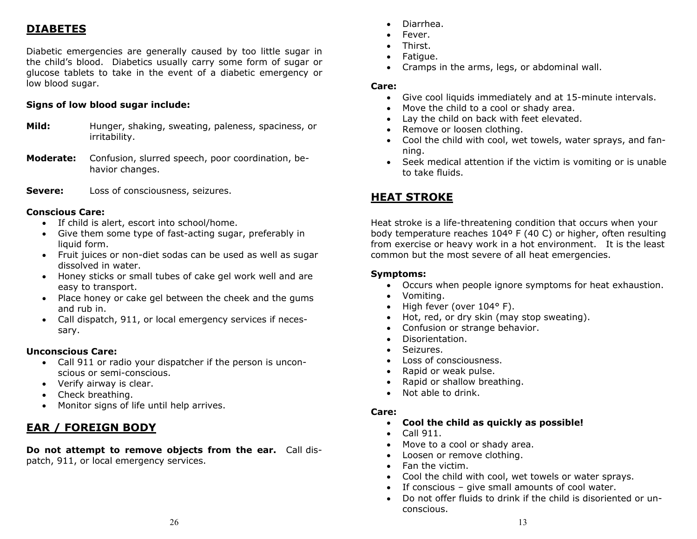# **DIABETES**

Diabetic emergencies are generally caused by too little sugar in the child's blood. Diabetics usually carry some form of sugar or glucose tablets to take in the event of a diabetic emergency or low blood sugar.

### **Signs of low blood sugar include:**

- **Mild:** Hunger, shaking, sweating, paleness, spaciness, or irritability.
- **Moderate:** Confusion, slurred speech, poor coordination, behavior changes.
- **Severe:** Loss of consciousness, seizures.

### **Conscious Care:**

- If child is alert, escort into school/home.
- Give them some type of fast-acting sugar, preferably in liquid form.
- Fruit juices or non-diet sodas can be used as well as sugar dissolved in water.
- Honey sticks or small tubes of cake gel work well and are easy to transport.
- Place honey or cake gel between the cheek and the gums and rub in.
- Call dispatch, 911, or local emergency services if necessary.

### **Unconscious Care:**

- Call 911 or radio your dispatcher if the person is unconscious or semi-conscious.
- Verify airway is clear.
- $\bullet$ Check breathing.
- $\bullet$ Monitor signs of life until help arrives.

# **EAR / FOREIGN BODY**

**Do not attempt to remove objects from the ear.** Call dispatch, 911, or local emergency services.

- $\bullet$ Diarrhea.
- $\bullet$ Fever.
- Thirst.
- $\bullet$ Fatigue.
- $\bullet$ Cramps in the arms, legs, or abdominal wall.

### **Care:**

- Give cool liquids immediately and at 15-minute intervals.
- $\bullet$ Move the child to a cool or shady area.
- $\bullet$ Lay the child on back with feet elevated.
- $\bullet$ Remove or loosen clothing.
- Cool the child with cool, wet towels, water sprays, and fanning.
- Seek medical attention if the victim is vomiting or is unable to take fluids.

# **HEAT STROKE**

Heat stroke is a life-threatening condition that occurs when your body temperature reaches 104º F (40 C) or higher, often resulting from exercise or heavy work in a hot environment. It is the least common but the most severe of all heat emergencies.

### **Symptoms:**

- Occurs when people ignore symptoms for heat exhaustion.
- Vomiting.
- $\bullet$ High fever (over 104° F).
- $\bullet$ Hot, red, or dry skin (may stop sweating).
- $\bullet$ Confusion or strange behavior.
- $\bullet$ Disorientation.
- $\bullet$ Seizures.
- Loss of consciousness.
- $\bullet$ Rapid or weak pulse.
- $\bullet$ Rapid or shallow breathing.
- $\bullet$ Not able to drink.

- **Cool the child as quickly as possible!**
- $\bullet$   $\,$  Call 911.  $\,$
- Move to a cool or shady area.
- Loosen or remove clothing.
- Fan the victim.
- Cool the child with cool, wet towels or water sprays.
- If conscious give small amounts of cool water.
- Do not offer fluids to drink if the child is disoriented or unconscious.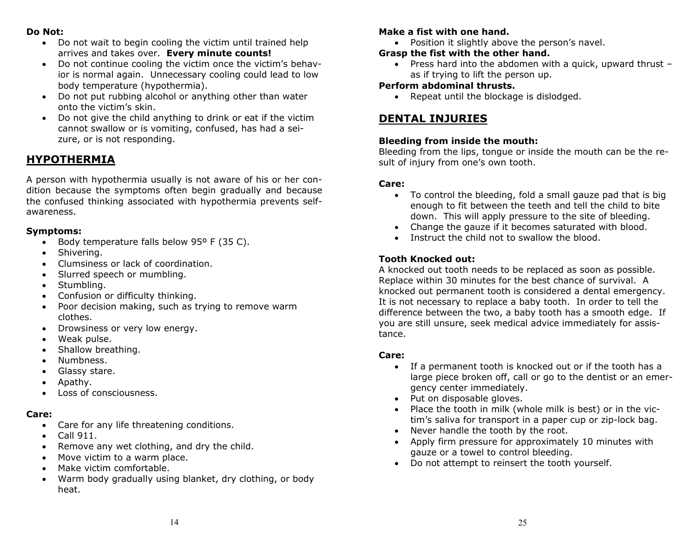### **Do Not:**

- Do not wait to begin cooling the victim until trained help arrives and takes over. **Every minute counts!**
- Do not continue cooling the victim once the victim's behavior is normal again. Unnecessary cooling could lead to low body temperature (hypothermia).
- Do not put rubbing alcohol or anything other than water onto the victim's skin.
- Do not give the child anything to drink or eat if the victim cannot swallow or is vomiting, confused, has had a seizure, or is not responding.

### **HYPOTHERMIA**

A person with hypothermia usually is not aware of his or her condition because the symptoms often begin gradually and because the confused thinking associated with hypothermia prevents selfawareness.

### **Symptoms:**

- Body temperature falls below 95° F (35 C).
- $\bullet$ Shivering.
- Clumsiness or lack of coordination.
- $\bullet$ Slurred speech or mumbling.
- $\bullet$ Stumbling.
- $\bullet$ Confusion or difficulty thinking.
- $\bullet$  Poor decision making, such as trying to remove warm clothes.
- Drowsiness or very low energy.
- $\bullet$ Weak pulse.
- $\bullet$ Shallow breathing.
- $\bullet$ Numbness.
- $\bullet$ Glassy stare.
- $\bullet$ Apathy.
- $\bullet$ Loss of consciousness.

### **Care:**

- Care for any life threatening conditions.
- $\bullet$  Call 911.
- $\bullet$ Remove any wet clothing, and dry the child.
- $\bullet$ Move victim to a warm place.
- $\bullet$ Make victim comfortable.
- Warm body gradually using blanket, dry clothing, or body heat.

### **Make a fist with one hand.**

Position it slightly above the person's navel.

### **Grasp the fist with the other hand.**

 Press hard into the abdomen with a quick, upward thrust – as if trying to lift the person up.

### **Perform abdominal thrusts.**

• Repeat until the blockage is dislodged.

### **DENTAL INJURIES**

### **Bleeding from inside the mouth:**

Bleeding from the lips, tongue or inside the mouth can be the result of injury from one's own tooth.

### **Care:**

- To control the bleeding, fold a small gauze pad that is big enough to fit between the teeth and tell the child to bite down. This will apply pressure to the site of bleeding.
- Change the gauze if it becomes saturated with blood.
- $\bullet$ Instruct the child not to swallow the blood.

### **Tooth Knocked out:**

A knocked out tooth needs to be replaced as soon as possible. Replace within 30 minutes for the best chance of survival. A knocked out permanent tooth is considered a dental emergency. It is not necessary to replace a baby tooth. In order to tell the difference between the two, a baby tooth has a smooth edge. If you are still unsure, seek medical advice immediately for assistance.

- If a permanent tooth is knocked out or if the tooth has a large piece broken off, call or go to the dentist or an emergency center immediately.
- Put on disposable gloves.
- Place the tooth in milk (whole milk is best) or in the victim's saliva for transport in a paper cup or zip-lock bag.
- Never handle the tooth by the root.
- Apply firm pressure for approximately 10 minutes with gauze or a towel to control bleeding.
- Do not attempt to reinsert the tooth yourself.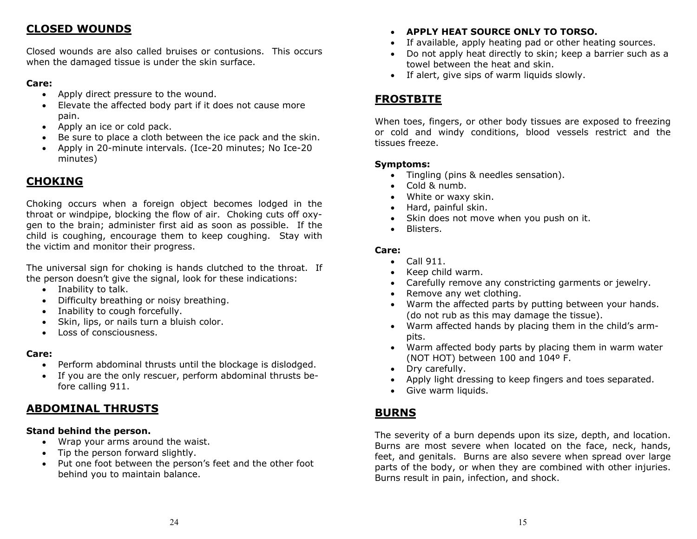### **CLOSED WOUNDS**

Closed wounds are also called bruises or contusions. This occurs when the damaged tissue is under the skin surface.

### **Care:**

- Apply direct pressure to the wound.
- Elevate the affected body part if it does not cause more pain.
- Apply an ice or cold pack.
- $\bullet$ Be sure to place a cloth between the ice pack and the skin.
- Apply in 20-minute intervals. (Ice-20 minutes; No Ice-20 minutes)

### **CHOKING**

Choking occurs when a foreign object becomes lodged in the throat or windpipe, blocking the flow of air. Choking cuts off oxygen to the brain; administer first aid as soon as possible. If the child is coughing, encourage them to keep coughing. Stay with the victim and monitor their progress.

The universal sign for choking is hands clutched to the throat. If the person doesn't give the signal, look for these indications:

- Inability to talk.
- Difficulty breathing or noisy breathing.
- Inability to cough forcefully.
- Skin, lips, or nails turn a bluish color.
- Loss of consciousness.

### **Care:**

- Perform abdominal thrusts until the blockage is dislodged.
- If you are the only rescuer, perform abdominal thrusts before calling 911.

### **ABDOMINAL THRUSTS**

### **Stand behind the person.**

- Wrap your arms around the waist.
- $\bullet$ Tip the person forward slightly.
- Put one foot between the person's feet and the other foot behind you to maintain balance.

### **APPLY HEAT SOURCE ONLY TO TORSO.**

- If available, apply heating pad or other heating sources.
- $\bullet$  Do not apply heat directly to skin; keep a barrier such as a towel between the heat and skin.
- If alert, give sips of warm liquids slowly.

# **FROSTBITE**

When toes, fingers, or other body tissues are exposed to freezing or cold and windy conditions, blood vessels restrict and the tissues freeze.

### **Symptoms:**

- Tingling (pins & needles sensation).
- Cold & numb.
- White or waxy skin.
- Hard, painful skin.
- $\bullet$ Skin does not move when you push on it.
- Blisters.

### **Care:**

- $\bullet$  Call 911.
- $\bullet$ Keep child warm.
- Carefully remove any constricting garments or jewelry.
- $\bullet$ Remove any wet clothing.
- $\bullet$  Warm the affected parts by putting between your hands. (do not rub as this may damage the tissue).
- Warm affected hands by placing them in the child's armpits.
- Warm affected body parts by placing them in warm water (NOT HOT) between 100 and 104º F.
- Dry carefully.
- Apply light dressing to keep fingers and toes separated.
- Give warm liquids.

### **BURNS**

The severity of a burn depends upon its size, depth, and location. Burns are most severe when located on the face, neck, hands, feet, and genitals. Burns are also severe when spread over large parts of the body, or when they are combined with other injuries. Burns result in pain, infection, and shock.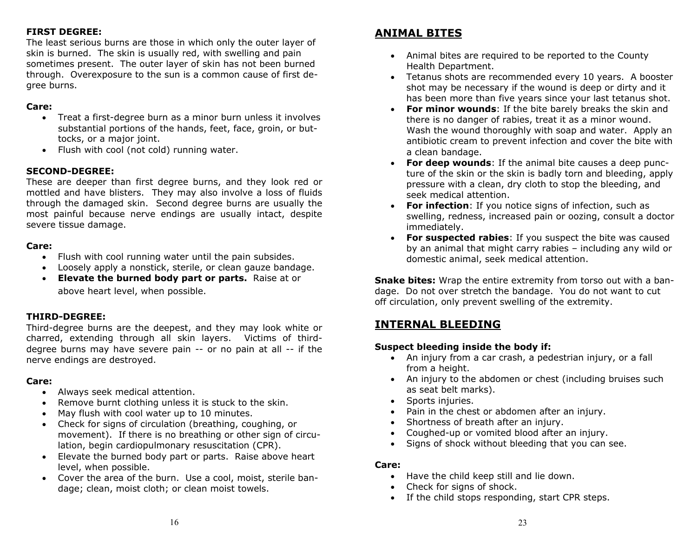### **FIRST DEGREE:**

The least serious burns are those in which only the outer layer of skin is burned. The skin is usually red, with swelling and pain sometimes present. The outer layer of skin has not been burned through. Overexposure to the sun is a common cause of first degree burns.

### **Care:**

- Treat a first-degree burn as a minor burn unless it involves substantial portions of the hands, feet, face, groin, or buttocks, or a major joint.
- Flush with cool (not cold) running water.

### **SECOND-DEGREE:**

These are deeper than first degree burns, and they look red or mottled and have blisters. They may also involve a loss of fluids through the damaged skin. Second degree burns are usually the most painful because nerve endings are usually intact, despite severe tissue damage.

### **Care:**

- Flush with cool running water until the pain subsides.
- Loosely apply a nonstick, sterile, or clean gauze bandage.
- **Elevate the burned body part or parts.** Raise at or above heart level, when possible.

#### **THIRD-DEGREE:**

Third-degree burns are the deepest, and they may look white or charred, extending through all skin layers. Victims of thirddegree burns may have severe pain -- or no pain at all -- if the nerve endings are destroyed.

### **Care:**

- Always seek medical attention.
- Remove burnt clothing unless it is stuck to the skin.
- $\bullet$ May flush with cool water up to 10 minutes.
- Check for signs of circulation (breathing, coughing, or movement). If there is no breathing or other sign of circulation, begin cardiopulmonary resuscitation (CPR).
- Elevate the burned body part or parts. Raise above heart level, when possible.
- Cover the area of the burn. Use a cool, moist, sterile bandage; clean, moist cloth; or clean moist towels.

### **ANIMAL BITES**

- Animal bites are required to be reported to the County Health Department.
- Tetanus shots are recommended every 10 years. A booster shot may be necessary if the wound is deep or dirty and it has been more than five years since your last tetanus shot.
- $\bullet$  **For minor wounds**: If the bite barely breaks the skin and there is no danger of rabies, treat it as a minor wound. Wash the wound thoroughly with soap and water. Apply an antibiotic cream to prevent infection and cover the bite with a clean bandage.
- **For deep wounds**: If the animal bite causes a deep puncture of the skin or the skin is badly torn and bleeding, apply pressure with a clean, dry cloth to stop the bleeding, and seek medical attention.
- **For infection**: If you notice signs of infection, such as swelling, redness, increased pain or oozing, consult a doctor immediately.
- **For suspected rabies**: If you suspect the bite was caused by an animal that might carry rabies – including any wild or domestic animal, seek medical attention.

**Snake bites:** Wrap the entire extremity from torso out with a bandage. Do not over stretch the bandage. You do not want to cut off circulation, only prevent swelling of the extremity.

### **INTERNAL BLEEDING**

#### **Suspect bleeding inside the body if:**

- An injury from a car crash, a pedestrian injury, or a fall from a height.
- An injury to the abdomen or chest (including bruises such as seat belt marks).
- Sports injuries.
- Pain in the chest or abdomen after an injury.
- Shortness of breath after an injury.
- Coughed-up or vomited blood after an injury.
- $\bullet$ Signs of shock without bleeding that you can see.

- Have the child keep still and lie down.
- Check for signs of shock.
- If the child stops responding, start CPR steps.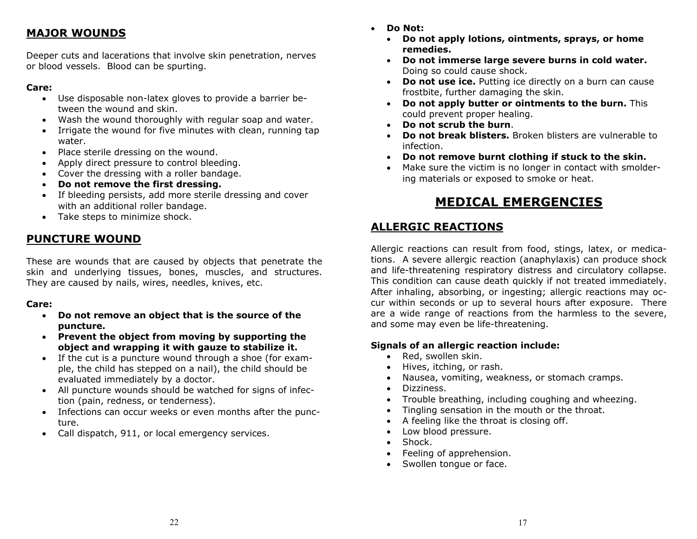### **MAJOR WOUNDS**

Deeper cuts and lacerations that involve skin penetration, nerves or blood vessels. Blood can be spurting.

### **Care:**

- Use disposable non-latex gloves to provide a barrier between the wound and skin.
- Wash the wound thoroughly with regular soap and water.
- $\bullet$  Irrigate the wound for five minutes with clean, running tap water.
- Place sterile dressing on the wound.
- $\bullet$ Apply direct pressure to control bleeding.
- Cover the dressing with a roller bandage.
- $\bullet$ **Do not remove the first dressing.**
- If bleeding persists, add more sterile dressing and cover with an additional roller bandage.
- Take steps to minimize shock.

### **PUNCTURE WOUND**

These are wounds that are caused by objects that penetrate the skin and underlying tissues, bones, muscles, and structures. They are caused by nails, wires, needles, knives, etc.

### **Care:**

- **Do not remove an object that is the source of the puncture.**
- **Prevent the object from moving by supporting the object and wrapping it with gauze to stabilize it.**
- If the cut is a puncture wound through a shoe (for example, the child has stepped on a nail), the child should be evaluated immediately by a doctor.
- All puncture wounds should be watched for signs of infection (pain, redness, or tenderness).
- Infections can occur weeks or even months after the puncture.
- $\bullet$ Call dispatch, 911, or local emergency services.
- $\blacksquare$  **Do Not:**
	- **Do not apply lotions, ointments, sprays, or home remedies.**
	- **Do not immerse large severe burns in cold water.** Doing so could cause shock.
	- **Do not use ice.** Putting ice directly on a burn can cause frostbite, further damaging the skin.
	- **Do not apply butter or ointments to the burn.** This could prevent proper healing.
	- **Do not scrub the burn**.
	- $\bullet$  **Do not break blisters.** Broken blisters are vulnerable to infection.
	- **Do not remove burnt clothing if stuck to the skin.**
	- Make sure the victim is no longer in contact with smoldering materials or exposed to smoke or heat.

# **MEDICAL EMERGENCIES**

# **ALLERGIC REACTIONS**

Allergic reactions can result from food, stings, latex, or medications. A severe allergic reaction (anaphylaxis) can produce shock and life-threatening respiratory distress and circulatory collapse. This condition can cause death quickly if not treated immediately. After inhaling, absorbing, or ingesting; allergic reactions may occur within seconds or up to several hours after exposure. There are a wide range of reactions from the harmless to the severe, and some may even be life-threatening.

### **Signals of an allergic reaction include:**

- $\bullet$ Red, swollen skin.
- Hives, itching, or rash.
- $\bullet$ Nausea, vomiting, weakness, or stomach cramps.
- $\bullet$ Dizziness.
- $\bullet$ Trouble breathing, including coughing and wheezing.
- $\bullet$ Tingling sensation in the mouth or the throat.
- $\bullet$ A feeling like the throat is closing off.
- $\bullet$ Low blood pressure.
- $\bullet$ Shock.
- **•** Feeling of apprehension.
- $\bullet$ Swollen tongue or face.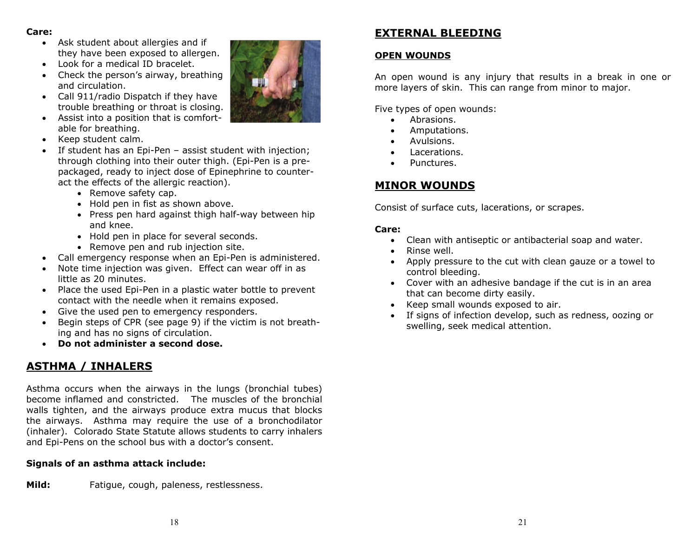### **Care:**

- Ask student about allergies and if they have been exposed to allergen.
- $\bullet$ Look for a medical ID bracelet.
- Check the person's airway, breathing and circulation.
- Call 911/radio Dispatch if they have trouble breathing or throat is closing.
- Assist into a position that is comfortable for breathing.
- Keep student calm.
- If student has an Epi-Pen assist student with injection; through clothing into their outer thigh. (Epi-Pen is a prepackaged, ready to inject dose of Epinephrine to counteract the effects of the allergic reaction).
	- Remove safety cap.
	- Hold pen in fist as shown above.
	- Press pen hard against thigh half-way between hip and knee.
	- Hold pen in place for several seconds.
	- Remove pen and rub injection site.
- $\bullet$ Call emergency response when an Epi-Pen is administered.
- $\bullet$  Note time injection was given. Effect can wear off in as little as 20 minutes.
- Place the used Epi-Pen in a plastic water bottle to prevent contact with the needle when it remains exposed.
- Give the used pen to emergency responders.
- $\bullet$  Begin steps of CPR (see page 9) if the victim is not breathing and has no signs of circulation.
- **Do not administer a second dose.**

# **ASTHMA / INHALERS**

Asthma occurs when the airways in the lungs (bronchial tubes) become inflamed and constricted. The muscles of the bronchial walls tighten, and the airways produce extra mucus that blocks the airways. Asthma may require the use of a bronchodilator (inhaler). Colorado State Statute allows students to carry inhalers and Epi-Pens on the school bus with a doctor's consent.

### **Signals of an asthma attack include:**

**Mild:** Fatigue, cough, paleness, restlessness.



# **EXTERNAL BLEEDING**

### **OPEN WOUNDS**

An open wound is any injury that results in a break in one or more layers of skin. This can range from minor to major.

Five types of open wounds:

- $\bullet$ Abrasions.
- $\bullet$ Amputations.
- $\bullet$ Avulsions.
- $\bullet$ Lacerations.
- $\bullet$ Punctures.

# **MINOR WOUNDS**

Consist of surface cuts, lacerations, or scrapes.

- Clean with antiseptic or antibacterial soap and water.
- $\bullet$ Rinse well.
- $\bullet$  Apply pressure to the cut with clean gauze or a towel to control bleeding.
- Cover with an adhesive bandage if the cut is in an area that can become dirty easily.
- $\bullet$ Keep small wounds exposed to air.
- $\bullet$  If signs of infection develop, such as redness, oozing or swelling, seek medical attention.